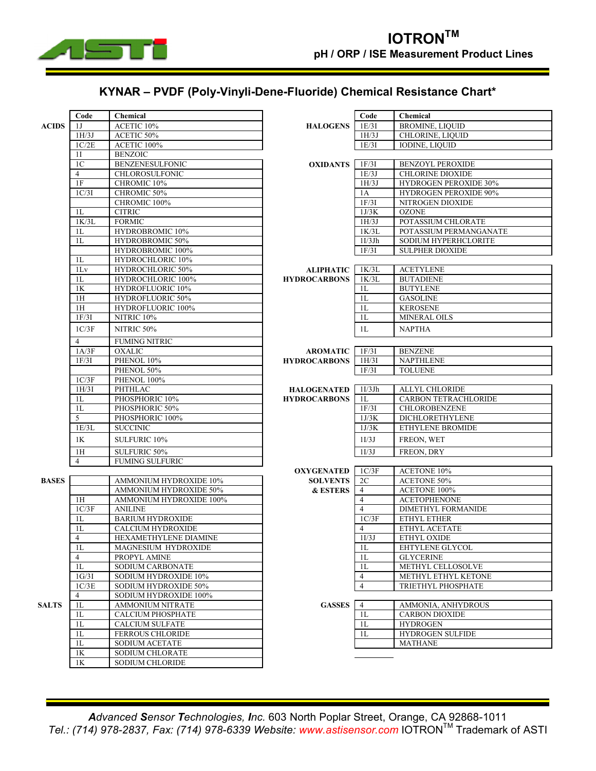

## **KYNAR ± PVDF (Poly-Vinyli-Dene-Fluoride) Chemical Resistance Chart\***

|              | Code           | Chemical                       |                                           | Code           | Chemical                     |  |  |
|--------------|----------------|--------------------------------|-------------------------------------------|----------------|------------------------------|--|--|
| <b>ACIDS</b> | 1J             | ACETIC 10%                     | <b>HALOGENS</b>                           | 1E/3I          | <b>BROMINE, LIQUID</b>       |  |  |
|              | 1H/3J          | ACETIC 50%                     |                                           | 1H/3J          | CHLORINE, LIQUID             |  |  |
|              | 1C/2E          | ACETIC 100%                    |                                           | 1E/3I          | <b>IODINE, LIQUID</b>        |  |  |
|              | 1I             | <b>BENZOIC</b>                 |                                           |                |                              |  |  |
|              | 1 <sub>C</sub> | <b>BENZENESULFONIC</b>         | <b>OXIDANTS</b>                           | 1F/3I          | <b>BENZOYL PEROXIDE</b>      |  |  |
|              | $\overline{4}$ | <b>CHLOROSULFONIC</b>          |                                           | 1E/3J          | <b>CHLORINE DIOXIDE</b>      |  |  |
|              | 1F             | CHROMIC 10%                    |                                           | 1H/3J          | HYDROGEN PEROXIDE 30%        |  |  |
|              | 1C/3I          | CHROMIC 50%                    |                                           | 1A             | <b>HYDROGEN PEROXIDE 90%</b> |  |  |
|              |                | CHROMIC 100%                   |                                           | 1F/3I          | NITROGEN DIOXIDE             |  |  |
|              | 1L             | <b>CITRIC</b>                  |                                           | 1J/3K          | <b>OZONE</b>                 |  |  |
|              | 1K/3L          | <b>FORMIC</b>                  |                                           | 1H/3J          | POTASSIUM CHLORATE           |  |  |
|              | 1L             | HYDROBROMIC 10%                |                                           | 1K/3L          | POTASSIUM PERMANGANATE       |  |  |
|              | 1L             | <b>HYDROBROMIC 50%</b>         |                                           | 1I/3Jh         | <b>SODIUM HYPERHCLORITE</b>  |  |  |
|              |                | HYDROBROMIC 100%               |                                           | 1F/3I          | <b>SULPHER DIOXIDE</b>       |  |  |
|              | 1L             | HYDROCHLORIC 10%               |                                           |                |                              |  |  |
|              | 1Lv            | HYDROCHLORIC 50%               | ALIPHATIC                                 | 1K/3L          | <b>ACETYLENE</b>             |  |  |
|              | 1L             | HYDROCHLORIC 100%              | <b>HYDROCARBONS</b>                       | 1K/3L          | <b>BUTADIENE</b>             |  |  |
|              | $1\mathrm{K}$  | HYDROFLUORIC 10%               |                                           | 1L             | <b>BUTYLENE</b>              |  |  |
|              | 1H             | HYDROFLUORIC 50%               |                                           | 1L             | <b>GASOLINE</b>              |  |  |
|              | 1H             | <b>HYDROFLUORIC 100%</b>       |                                           | 1 <sub>L</sub> | <b>KEROSENE</b>              |  |  |
|              | 1F/3I          | NITRIC <sub>10%</sub>          |                                           | 1L             | <b>MINERAL OILS</b>          |  |  |
|              | 1C/3F          | NITRIC 50%                     |                                           | 1L             | <b>NAPTHA</b>                |  |  |
|              | $\overline{4}$ |                                |                                           |                |                              |  |  |
|              | 1A/3F          | FUMING NITRIC<br><b>OXALIC</b> |                                           | 1F/3I          | <b>BENZENE</b>               |  |  |
|              | 1F/3I          | PHENOL 10%                     | <b>AROMATIC</b>                           | 1H/3I          | <b>NAPTHLENE</b>             |  |  |
|              |                | PHENOL 50%                     | <b>HYDROCARBONS</b>                       | 1F/3I          | <b>TOLUENE</b>               |  |  |
|              | 1C/3F          | PHENOL 100%                    |                                           |                |                              |  |  |
|              | 1H/3I          | PHTHLAC                        |                                           | 1I/3Jh         | ALLYL CHLORIDE               |  |  |
|              | 1L             | PHOSPHORIC 10%                 | <b>HALOGENATED</b><br><b>HYDROCARBONS</b> | 1L             | <b>CARBON TETRACHLORIDE</b>  |  |  |
|              | 1L             | PHOSPHORIC 50%                 |                                           | 1F/3I          | CHLOROBENZENE                |  |  |
|              | 5              | PHOSPHORIC 100%                |                                           | 1J/3K          | DICHLORETHYLENE              |  |  |
|              | 1E/3L          | <b>SUCCINIC</b>                |                                           | 1J/3K          | ETHYLENE BROMIDE             |  |  |
|              |                |                                |                                           |                |                              |  |  |
|              | 1K             | SULFURIC 10%                   |                                           | 1I/3J          | FREON, WET                   |  |  |
|              | 1H             | SULFURIC 50%                   |                                           | 1I/3J          | FREON, DRY                   |  |  |
|              | $\overline{4}$ | <b>FUMING SULFURIC</b>         |                                           |                |                              |  |  |
|              |                |                                | <b>OXYGENATED</b>                         | 1C/3F          | ACETONE 10%                  |  |  |
| <b>BASES</b> |                | AMMONIUM HYDROXIDE 10%         | <b>SOLVENTS</b>                           | 2C             | <b>ACETONE 50%</b>           |  |  |
|              |                | AMMONIUM HYDROXIDE 50%         | <b>&amp; ESTERS</b>                       | $\overline{4}$ | ACETONE 100%                 |  |  |
|              | 1H             | AMMONIUM HYDROXIDE 100%        |                                           | $\overline{4}$ | <b>ACETOPHENONE</b>          |  |  |
|              | 1C/3F          | <b>ANILINE</b>                 |                                           | $\overline{4}$ | DIMETHYL FORMANIDE           |  |  |
|              | 1L             | <b>BARIUM HYDROXIDE</b>        |                                           | 1C/3F          | ETHYL ETHER                  |  |  |
|              | 1L             | <b>CALCIUM HYDROXIDE</b>       |                                           | $\overline{4}$ | ETHYL ACETATE                |  |  |
|              | $\overline{4}$ | HEXAMETHYLENE DIAMINE          |                                           | 1I/3J          | ETHYL OXIDE                  |  |  |
|              | 1L             | MAGNESIUM HYDROXIDE            |                                           | $1\mathbf{L}$  | EHTYLENE GLYCOL              |  |  |
|              | $\overline{4}$ | PROPYL AMINE                   |                                           | 1 <sub>L</sub> | <b>GLYCERINE</b>             |  |  |
|              | 1L             | <b>SODIUM CARBONATE</b>        |                                           | 1 <sub>L</sub> | METHYL CELLOSOLVE            |  |  |
|              | 1G/3I          | SODIUM HYDROXIDE 10%           |                                           | $\overline{4}$ | METHYL ETHYL KETONE          |  |  |
|              | 1C/3E          | SODIUM HYDROXIDE 50%           |                                           | $\overline{4}$ | TRIETHYL PHOSPHATE           |  |  |
|              | $\overline{4}$ | SODIUM HYDROXIDE 100%          |                                           |                |                              |  |  |
| <b>SALTS</b> | 1L             | <b>AMMONIUM NITRATE</b>        | <b>GASSES</b>                             | $\overline{4}$ | AMMONIA, ANHYDROUS           |  |  |
|              | 1L             | <b>CALCIUM PHOSPHATE</b>       |                                           | 1 <sub>L</sub> | <b>CARBON DIOXIDE</b>        |  |  |
|              | 1L             | <b>CALCIUM SULFATE</b>         |                                           | 1 <sub>L</sub> | <b>HYDROGEN</b>              |  |  |
|              | $1\mathrm{L}$  | <b>FERROUS CHLORIDE</b>        |                                           | 1L             | HYDROGEN SULFIDE             |  |  |
|              | 1L             | <b>SODIUM ACETATE</b>          |                                           |                | <b>MATHANE</b>               |  |  |
|              | 1K             | SODIUM CHLORATE                |                                           |                |                              |  |  |
|              | $1\mathrm{K}$  | SODIUM CHLORIDE                |                                           |                |                              |  |  |
|              |                |                                |                                           |                |                              |  |  |